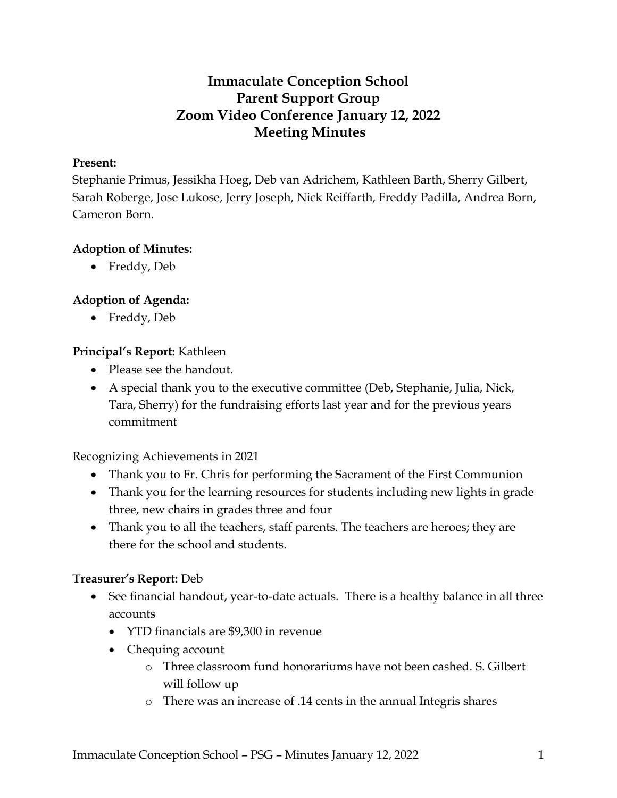# **Immaculate Conception School Parent Support Group Zoom Video Conference January 12, 2022 Meeting Minutes**

### **Present:**

Stephanie Primus, Jessikha Hoeg, Deb van Adrichem, Kathleen Barth, Sherry Gilbert, Sarah Roberge, Jose Lukose, Jerry Joseph, Nick Reiffarth, Freddy Padilla, Andrea Born, Cameron Born.

### **Adoption of Minutes:**

• Freddy, Deb

## **Adoption of Agenda:**

• Freddy, Deb

### **Principal's Report:** Kathleen

- Please see the handout.
- A special thank you to the executive committee (Deb, Stephanie, Julia, Nick, Tara, Sherry) for the fundraising efforts last year and for the previous years commitment

Recognizing Achievements in 2021

- Thank you to Fr. Chris for performing the Sacrament of the First Communion
- Thank you for the learning resources for students including new lights in grade three, new chairs in grades three and four
- Thank you to all the teachers, staff parents. The teachers are heroes; they are there for the school and students.

### **Treasurer's Report:** Deb

- See financial handout, year-to-date actuals. There is a healthy balance in all three accounts
	- YTD financials are \$9,300 in revenue
	- Chequing account
		- o Three classroom fund honorariums have not been cashed. S. Gilbert will follow up
		- o There was an increase of .14 cents in the annual Integris shares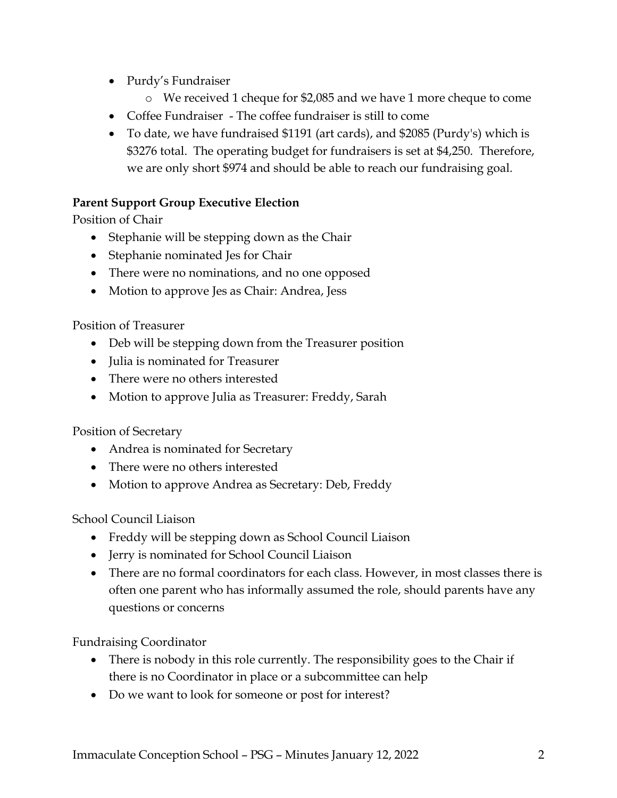- Purdy's Fundraiser
	- o We received 1 cheque for \$2,085 and we have 1 more cheque to come
- Coffee Fundraiser The coffee fundraiser is still to come
- To date, we have fundraised \$1191 (art cards), and \$2085 (Purdy's) which is \$3276 total. The operating budget for fundraisers is set at \$4,250. Therefore, we are only short \$974 and should be able to reach our fundraising goal.

## **Parent Support Group Executive Election**

Position of Chair

- Stephanie will be stepping down as the Chair
- Stephanie nominated Jes for Chair
- There were no nominations, and no one opposed
- Motion to approve Jes as Chair: Andrea, Jess

Position of Treasurer

- Deb will be stepping down from the Treasurer position
- Julia is nominated for Treasurer
- There were no others interested
- Motion to approve Julia as Treasurer: Freddy, Sarah

Position of Secretary

- Andrea is nominated for Secretary
- There were no others interested
- Motion to approve Andrea as Secretary: Deb, Freddy

School Council Liaison

- Freddy will be stepping down as School Council Liaison
- Jerry is nominated for School Council Liaison
- There are no formal coordinators for each class. However, in most classes there is often one parent who has informally assumed the role, should parents have any questions or concerns

Fundraising Coordinator

- There is nobody in this role currently. The responsibility goes to the Chair if there is no Coordinator in place or a subcommittee can help
- Do we want to look for someone or post for interest?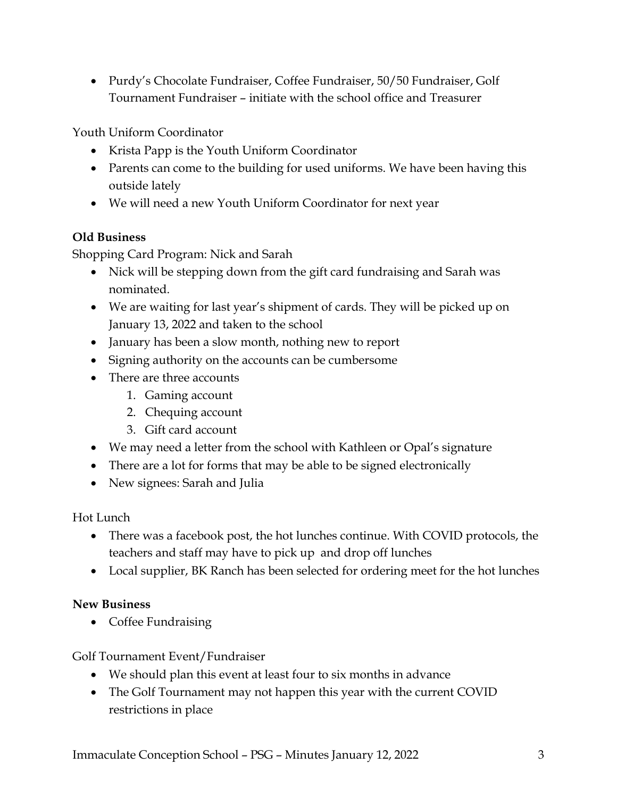• Purdy's Chocolate Fundraiser, Coffee Fundraiser, 50/50 Fundraiser, Golf Tournament Fundraiser – initiate with the school office and Treasurer

Youth Uniform Coordinator

- Krista Papp is the Youth Uniform Coordinator
- Parents can come to the building for used uniforms. We have been having this outside lately
- We will need a new Youth Uniform Coordinator for next year

# **Old Business**

Shopping Card Program: Nick and Sarah

- Nick will be stepping down from the gift card fundraising and Sarah was nominated.
- We are waiting for last year's shipment of cards. They will be picked up on January 13, 2022 and taken to the school
- January has been a slow month, nothing new to report
- Signing authority on the accounts can be cumbersome
- There are three accounts
	- 1. Gaming account
	- 2. Chequing account
	- 3. Gift card account
- We may need a letter from the school with Kathleen or Opal's signature
- There are a lot for forms that may be able to be signed electronically
- New signees: Sarah and Julia

# Hot Lunch

- There was a facebook post, the hot lunches continue. With COVID protocols, the teachers and staff may have to pick up and drop off lunches
- Local supplier, BK Ranch has been selected for ordering meet for the hot lunches

# **New Business**

• Coffee Fundraising

Golf Tournament Event/Fundraiser

- We should plan this event at least four to six months in advance
- The Golf Tournament may not happen this year with the current COVID restrictions in place